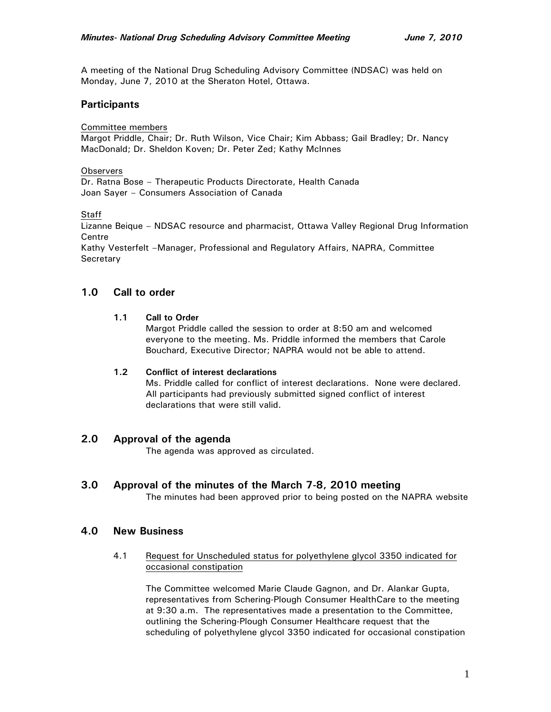A meeting of the National Drug Scheduling Advisory Committee (NDSAC) was held on Monday, June 7, 2010 at the Sheraton Hotel, Ottawa.

# **Participants**

Committee members

Margot Priddle, Chair; Dr. Ruth Wilson, Vice Chair; Kim Abbass; Gail Bradley; Dr. Nancy MacDonald; Dr. Sheldon Koven; Dr. Peter Zed; Kathy McInnes

### **Observers**

Dr. Ratna Bose – Therapeutic Products Directorate, Health Canada Joan Sayer – Consumers Association of Canada

**Staff** 

Lizanne Beique – NDSAC resource and pharmacist, Ottawa Valley Regional Drug Information **Centre** 

Kathy Vesterfelt –Manager, Professional and Regulatory Affairs, NAPRA, Committee **Secretary** 

# **1.0 Call to order**

### **1.1 Call to Order**

Margot Priddle called the session to order at 8:50 am and welcomed everyone to the meeting. Ms. Priddle informed the members that Carole Bouchard, Executive Director; NAPRA would not be able to attend.

### **1.2 Conflict of interest declarations**

Ms. Priddle called for conflict of interest declarations. None were declared. All participants had previously submitted signed conflict of interest declarations that were still valid.

# **2.0 Approval of the agenda**

The agenda was approved as circulated.

# **3.0 Approval of the minutes of the March 7-8, 2010 meeting**

The minutes had been approved prior to being posted on the NAPRA website

# **4.0 New Business**

### 4.1 Request for Unscheduled status for polyethylene glycol 3350 indicated for occasional constipation

The Committee welcomed Marie Claude Gagnon, and Dr. Alankar Gupta, representatives from Schering-Plough Consumer HealthCare to the meeting at 9:30 a.m. The representatives made a presentation to the Committee, outlining the Schering-Plough Consumer Healthcare request that the scheduling of polyethylene glycol 3350 indicated for occasional constipation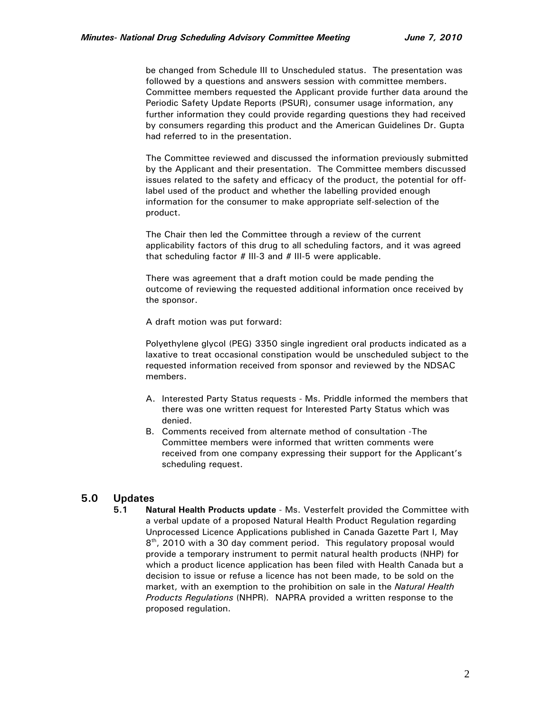be changed from Schedule III to Unscheduled status. The presentation was followed by a questions and answers session with committee members. Committee members requested the Applicant provide further data around the Periodic Safety Update Reports (PSUR), consumer usage information, any further information they could provide regarding questions they had received by consumers regarding this product and the American Guidelines Dr. Gupta had referred to in the presentation.

The Committee reviewed and discussed the information previously submitted by the Applicant and their presentation. The Committee members discussed issues related to the safety and efficacy of the product, the potential for offlabel used of the product and whether the labelling provided enough information for the consumer to make appropriate self-selection of the product.

The Chair then led the Committee through a review of the current applicability factors of this drug to all scheduling factors, and it was agreed that scheduling factor # III-3 and # III-5 were applicable.

There was agreement that a draft motion could be made pending the outcome of reviewing the requested additional information once received by the sponsor.

A draft motion was put forward:

Polyethylene glycol (PEG) 3350 single ingredient oral products indicated as a laxative to treat occasional constipation would be unscheduled subject to the requested information received from sponsor and reviewed by the NDSAC members.

- A. Interested Party Status requests Ms. Priddle informed the members that there was one written request for Interested Party Status which was denied.
- B. Comments received from alternate method of consultation -The Committee members were informed that written comments were received from one company expressing their support for the Applicant's scheduling request.

# **5.0 Updates**

**5.1 Natural Health Products update** - Ms. Vesterfelt provided the Committee with a verbal update of a proposed Natural Health Product Regulation regarding Unprocessed Licence Applications published in Canada Gazette Part I, May 8<sup>th</sup>, 2010 with a 30 day comment period. This regulatory proposal would provide a temporary instrument to permit natural health products (NHP) for which a product licence application has been filed with Health Canada but a decision to issue or refuse a licence has not been made, to be sold on the market, with an exemption to the prohibition on sale in the *Natural Health Products Regulations* (NHPR)*.* NAPRA provided a written response to the proposed regulation.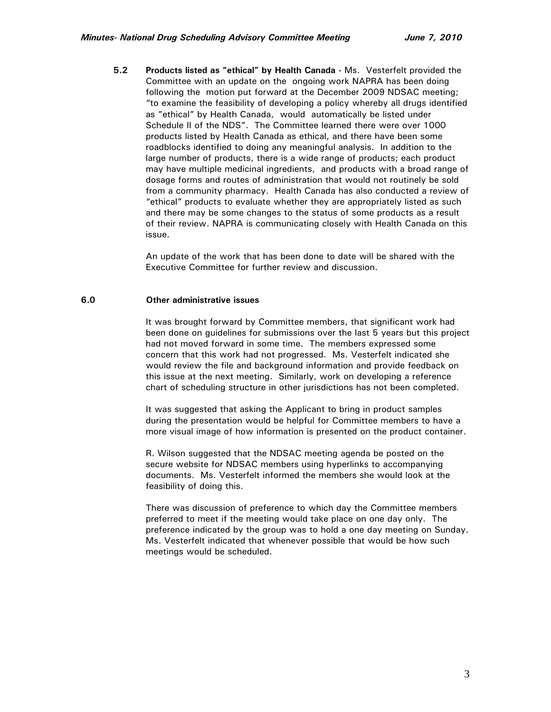**5.2 Products listed as "ethical" by Health Canada -** Ms. Vesterfelt provided the Committee with an update on the ongoing work NAPRA has been doing following the motion put forward at the December 2009 NDSAC meeting; "to examine the feasibility of developing a policy whereby all drugs identified as "ethical" by Health Canada, would automatically be listed under Schedule II of the NDS". The Committee learned there were over 1000 products listed by Health Canada as ethical, and there have been some roadblocks identified to doing any meaningful analysis. In addition to the large number of products, there is a wide range of products; each product may have multiple medicinal ingredients, and products with a broad range of dosage forms and routes of administration that would not routinely be sold from a community pharmacy. Health Canada has also conducted a review of "ethical" products to evaluate whether they are appropriately listed as such and there may be some changes to the status of some products as a result of their review. NAPRA is communicating closely with Health Canada on this issue.

An update of the work that has been done to date will be shared with the Executive Committee for further review and discussion.

#### **6.0 Other administrative issues**

It was brought forward by Committee members, that significant work had been done on guidelines for submissions over the last 5 years but this project had not moved forward in some time. The members expressed some concern that this work had not progressed. Ms. Vesterfelt indicated she would review the file and background information and provide feedback on this issue at the next meeting. Similarly, work on developing a reference chart of scheduling structure in other jurisdictions has not been completed.

It was suggested that asking the Applicant to bring in product samples during the presentation would be helpful for Committee members to have a more visual image of how information is presented on the product container.

R. Wilson suggested that the NDSAC meeting agenda be posted on the secure website for NDSAC members using hyperlinks to accompanying documents. Ms. Vesterfelt informed the members she would look at the feasibility of doing this.

There was discussion of preference to which day the Committee members preferred to meet if the meeting would take place on one day only. The preference indicated by the group was to hold a one day meeting on Sunday. Ms. Vesterfelt indicated that whenever possible that would be how such meetings would be scheduled.